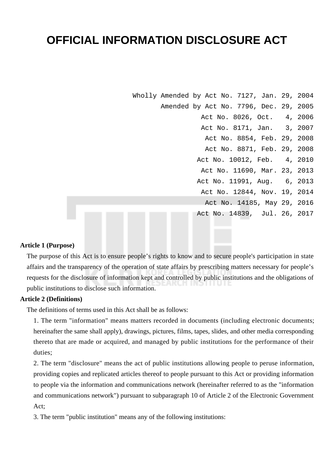# **OFFICIAL INFORMATION DISCLOSURE ACT**

Wholly Amended by Act No. 7127, Jan. 29, 2004 Amended by Act No. 7796, Dec. 29, 2005 Act No. 8026, Oct. 4, 2006 Act No. 8171, Jan. 3, 2007 Act No. 8854, Feb. 29, 2008 Act No. 8871, Feb. 29, 2008 Act No. 10012, Feb. 4, 2010 Act No. 11690, Mar. 23, 2013 Act No. 11991, Aug. 6, 2013 Act No. 12844, Nov. 19, 2014 Act No. 14185, May 29, 2016 Act No. 14839, Jul. 26, 2017

#### **Article 1 (Purpose)**

The purpose of this Act is to ensure people's rights to know and to secure people's participation in state affairs and the transparency of the operation of state affairs by prescribing matters necessary for people's requests for the disclosure of information kept and controlled by public institutions and the obligations of public institutions to disclose such information.

# **Article 2 (Definitions)**

The definitions of terms used in this Act shall be as follows:

1. The term "information" means matters recorded in documents (including electronic documents; hereinafter the same shall apply), drawings, pictures, films, tapes, slides, and other media corresponding thereto that are made or acquired, and managed by public institutions for the performance of their duties;

2. The term "disclosure" means the act of public institutions allowing people to peruse information, providing copies and replicated articles thereof to people pursuant to this Act or providing information to people via the information and communications network (hereinafter referred to as the "information and communications network") pursuant to subparagraph 10 of Article 2 of the Electronic Government Act;

3. The term "public institution" means any of the following institutions: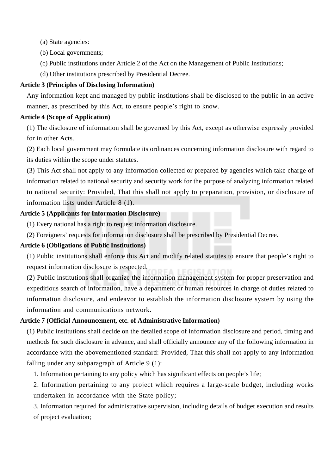(a) State agencies:

(b) Local governments;

(c) Public institutions under Article 2 of the Act on the Management of Public Institutions;

(d) Other institutions prescribed by Presidential Decree.

# **Article 3 (Principles of Disclosing Information)**

Any information kept and managed by public institutions shall be disclosed to the public in an active manner, as prescribed by this Act, to ensure people's right to know.

# **Article 4 (Scope of Application)**

(1) The disclosure of information shall be governed by this Act, except as otherwise expressly provided for in other Acts.

(2) Each local government may formulate its ordinances concerning information disclosure with regard to its duties within the scope under statutes.

(3) This Act shall not apply to any information collected or prepared by agencies which take charge of information related to national security and security work for the purpose of analyzing information related to national security: Provided, That this shall not apply to preparation, provision, or disclosure of information lists under Article 8 (1).

# **Article 5 (Applicants for Information Disclosure)**

(1) Every national has a right to request information disclosure.

(2) Foreigners' requests for information disclosure shall be prescribed by Presidential Decree.

# **Article 6 (Obligations of Public Institutions)**

(1) Public institutions shall enforce this Act and modify related statutes to ensure that people's right to request information disclosure is respected.

(2) Public institutions shall organize the information management system for proper preservation and expeditious search of information, have a department or human resources in charge of duties related to information disclosure, and endeavor to establish the information disclosure system by using the information and communications network.

# **Article 7 (Official Announcement, etc. of Administrative Information)**

(1) Public institutions shall decide on the detailed scope of information disclosure and period, timing and methods for such disclosure in advance, and shall officially announce any of the following information in accordance with the abovementioned standard: Provided, That this shall not apply to any information falling under any subparagraph of Article 9 (1):

1. Information pertaining to any policy which has significant effects on people's life;

2. Information pertaining to any project which requires a large-scale budget, including works undertaken in accordance with the State policy;

3. Information required for administrative supervision, including details of budget execution and results of project evaluation;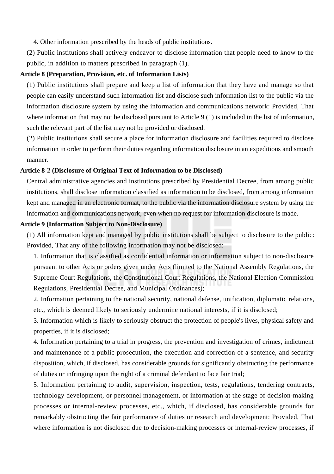4. Other information prescribed by the heads of public institutions.

(2) Public institutions shall actively endeavor to disclose information that people need to know to the public, in addition to matters prescribed in paragraph (1).

#### **Article 8 (Preparation, Provision, etc. of Information Lists)**

(1) Public institutions shall prepare and keep a list of information that they have and manage so that people can easily understand such information list and disclose such information list to the public via the information disclosure system by using the information and communications network: Provided, That where information that may not be disclosed pursuant to Article 9 (1) is included in the list of information, such the relevant part of the list may not be provided or disclosed.

(2) Public institutions shall secure a place for information disclosure and facilities required to disclose information in order to perform their duties regarding information disclosure in an expeditious and smooth manner.

#### **Article 8-2 (Disclosure of Original Text of Information to be Disclosed)**

Central administrative agencies and institutions prescribed by Presidential Decree, from among public institutions, shall disclose information classified as information to be disclosed, from among information kept and managed in an electronic format, to the public via the information disclosure system by using the information and communications network, even when no request for information disclosure is made.

### **Article 9 (Information Subject to Non-Disclosure)**

(1) All information kept and managed by public institutions shall be subject to disclosure to the public: Provided, That any of the following information may not be disclosed:

1. Information that is classified as confidential information or information subject to non-disclosure pursuant to other Acts or orders given under Acts (limited to the National Assembly Regulations, the Supreme Court Regulations, the Constitutional Court Regulations, the National Election Commission Regulations, Presidential Decree, and Municipal Ordinances);

2. Information pertaining to the national security, national defense, unification, diplomatic relations, etc., which is deemed likely to seriously undermine national interests, if it is disclosed;

3. Information which is likely to seriously obstruct the protection of people's lives, physical safety and properties, if it is disclosed;

4. Information pertaining to a trial in progress, the prevention and investigation of crimes, indictment and maintenance of a public prosecution, the execution and correction of a sentence, and security disposition, which, if disclosed, has considerable grounds for significantly obstructing the performance of duties or infringing upon the right of a criminal defendant to face fair trial;

5. Information pertaining to audit, supervision, inspection, tests, regulations, tendering contracts, technology development, or personnel management, or information at the stage of decision-making processes or internal-review processes, etc., which, if disclosed, has considerable grounds for remarkably obstructing the fair performance of duties or research and development: Provided, That where information is not disclosed due to decision-making processes or internal-review processes, if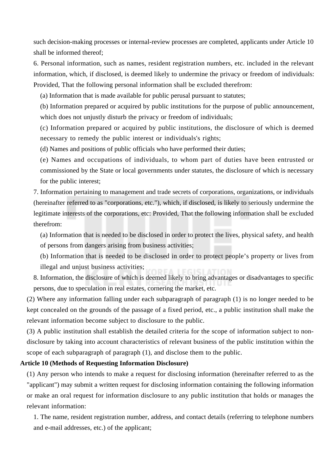such decision-making processes or internal-review processes are completed, applicants under Article 10 shall be informed thereof;

6. Personal information, such as names, resident registration numbers, etc. included in the relevant information, which, if disclosed, is deemed likely to undermine the privacy or freedom of individuals: Provided, That the following personal information shall be excluded therefrom:

(a) Information that is made available for public perusal pursuant to statutes;

(b) Information prepared or acquired by public institutions for the purpose of public announcement, which does not unjustly disturb the privacy or freedom of individuals;

(c) Information prepared or acquired by public institutions, the disclosure of which is deemed necessary to remedy the public interest or individuals's rights;

(d) Names and positions of public officials who have performed their duties;

(e) Names and occupations of individuals, to whom part of duties have been entrusted or commissioned by the State or local governments under statutes, the disclosure of which is necessary for the public interest;

7. Information pertaining to management and trade secrets of corporations, organizations, or individuals (hereinafter referred to as "corporations, etc."), which, if disclosed, is likely to seriously undermine the legitimate interests of the corporations, etc: Provided, That the following information shall be excluded therefrom:

(a) Information that is needed to be disclosed in order to protect the lives, physical safety, and health

of persons from dangers arising from business activities;

(b) Information that is needed to be disclosed in order to protect people's property or lives from illegal and unjust business activities;

8. Information, the disclosure of which is deemed likely to bring advantages or disadvantages to specific persons, due to speculation in real estates, cornering the market, etc.

(2) Where any information falling under each subparagraph of paragraph (1) is no longer needed to be kept concealed on the grounds of the passage of a fixed period, etc., a public institution shall make the relevant information become subject to disclosure to the public.

(3) A public institution shall establish the detailed criteria for the scope of information subject to nondisclosure by taking into account characteristics of relevant business of the public institution within the scope of each subparagraph of paragraph (1), and disclose them to the public.

## **Article 10 (Methods of Requesting Information Disclosure)**

(1) Any person who intends to make a request for disclosing information (hereinafter referred to as the "applicant") may submit a written request for disclosing information containing the following information or make an oral request for information disclosure to any public institution that holds or manages the relevant information:

1. The name, resident registration number, address, and contact details (referring to telephone numbers and e-mail addresses, etc.) of the applicant;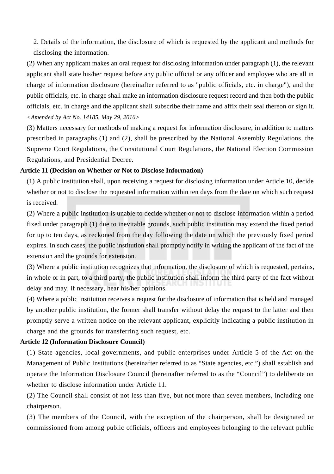2. Details of the information, the disclosure of which is requested by the applicant and methods for disclosing the information.

(2) When any applicant makes an oral request for disclosing information under paragraph (1), the relevant applicant shall state his/her request before any public official or any officer and employee who are all in charge of information disclosure (hereinafter referred to as "public officials, etc. in charge"), and the public officials, etc. in charge shall make an information disclosure request record and then both the public officials, etc. in charge and the applicant shall subscribe their name and affix their seal thereon or sign it. *<Amended by Act No. 14185, May 29, 2016>*

(3) Matters necessary for methods of making a request for information disclosure, in addition to matters prescribed in paragraphs (1) and (2), shall be prescribed by the National Assembly Regulations, the Supreme Court Regulations, the Consitutional Court Regulations, the National Election Commission Regulations, and Presidential Decree.

## **Article 11 (Decision on Whether or Not to Disclose Information)**

(1) A public institution shall, upon receiving a request for disclosing information under Article 10, decide whether or not to disclose the requested information within ten days from the date on which such request is received.

(2) Where a public institution is unable to decide whether or not to disclose information within a period fixed under paragraph (1) due to inevitable grounds, such public institution may extend the fixed period for up to ten days, as reckoned from the day following the date on which the previously fixed period expires. In such cases, the public institution shall promptly notify in writing the applicant of the fact of the extension and the grounds for extension.

(3) Where a public institution recognizes that information, the disclosure of which is requested, pertains, in whole or in part, to a third party, the public institution shall inform the third party of the fact without delay and may, if necessary, hear his/her opinions.

(4) Where a public institution receives a request for the disclosure of information that is held and managed by another public institution, the former shall transfer without delay the request to the latter and then promptly serve a written notice on the relevant applicant, explicitly indicating a public institution in charge and the grounds for transferring such request, etc.

## **Article 12 (Information Disclosure Council)**

(1) State agencies, local governments, and public enterprises under Article 5 of the Act on the Management of Public Institutions (hereinafter referred to as "State agencies, etc.") shall establish and operate the Information Disclosure Council (hereinafter referred to as the "Council") to deliberate on whether to disclose information under Article 11.

(2) The Council shall consist of not less than five, but not more than seven members, including one chairperson.

(3) The members of the Council, with the exception of the chairperson, shall be designated or commissioned from among public officials, officers and employees belonging to the relevant public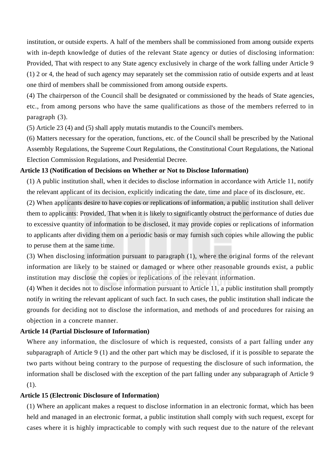institution, or outside experts. A half of the members shall be commissioned from among outside experts with in-depth knowledge of duties of the relevant State agency or duties of disclosing information: Provided, That with respect to any State agency exclusively in charge of the work falling under Article 9 (1) 2 or 4, the head of such agency may separately set the commission ratio of outside experts and at least one third of members shall be commissioned from among outside experts.

(4) The chairperson of the Council shall be designated or commissioned by the heads of State agencies, etc., from among persons who have the same qualifications as those of the members referred to in paragraph (3).

(5) Article 23 (4) and (5) shall apply mutatis mutandis to the Council's members.

(6) Matters necessary for the operation, functions, etc. of the Council shall be prescribed by the National Assembly Regulations, the Supreme Court Regulations, the Constitutional Court Regulations, the National Election Commission Regulations, and Presidential Decree.

#### **Article 13 (Notification of Decisions on Whether or Not to Disclose Information)**

(1) A public institution shall, when it decides to disclose information in accordance with Article 11, notify the relevant applicant of its decision, explicitly indicating the date, time and place of its disclosure, etc.

(2) When applicants desire to have copies or replications of information, a public institution shall deliver them to applicants: Provided, That when it is likely to significantly obstruct the performance of duties due to excessive quantity of information to be disclosed, it may provide copies or replications of information to applicants after dividing them on a periodic basis or may furnish such copies while allowing the public to peruse them at the same time.

(3) When disclosing information pursuant to paragraph (1), where the original forms of the relevant information are likely to be stained or damaged or where other reasonable grounds exist, a public institution may disclose the copies or replications of the relevant information.

(4) When it decides not to disclose information pursuant to Article 11, a public institution shall promptly notify in writing the relevant applicant of such fact. In such cases, the public institution shall indicate the grounds for deciding not to disclose the information, and methods of and procedures for raising an objection in a concrete manner.

## **Article 14 (Partial Disclosure of Information)**

Where any information, the disclosure of which is requested, consists of a part falling under any subparagraph of Article 9 (1) and the other part which may be disclosed, if it is possible to separate the two parts without being contrary to the purpose of requesting the disclosure of such information, the information shall be disclosed with the exception of the part falling under any subparagraph of Article 9 (1).

# **Article 15 (Electronic Disclosure of Information)**

(1) Where an applicant makes a request to disclose information in an electronic format, which has been held and managed in an electronic format, a public institution shall comply with such request, except for cases where it is highly impracticable to comply with such request due to the nature of the relevant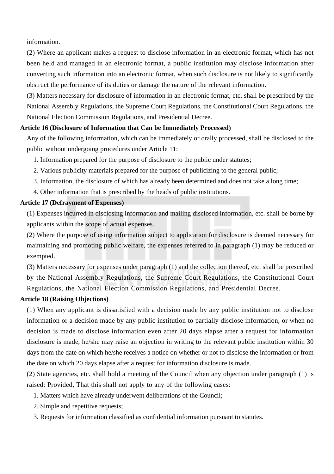information.

(2) Where an applicant makes a request to disclose information in an electronic format, which has not been held and managed in an electronic format, a public institution may disclose information after converting such information into an electronic format, when such disclosure is not likely to significantly obstruct the performance of its duties or damage the nature of the relevant information.

(3) Matters necessary for disclosure of information in an electronic format, etc. shall be prescribed by the National Assembly Regulations, the Supreme Court Regulations, the Constitutional Court Regulations, the National Election Commission Regulations, and Presidential Decree.

## **Article 16 (Disclosure of Information that Can be Immediately Processed)**

Any of the following information, which can be immediately or orally processed, shall be disclosed to the public without undergoing procedures under Article 11:

- 1. Information prepared for the purpose of disclosure to the public under statutes;
- 2. Various publicity materials prepared for the purpose of publicizing to the general public;
- 3. Information, the disclosure of which has already been determined and does not take a long time;
- 4. Other information that is prescribed by the heads of public institutions.

#### **Article 17 (Defrayment of Expenses)**

(1) Expenses incurred in disclosing information and mailing disclosed information, etc. shall be borne by applicants within the scope of actual expenses.

(2) Where the purpose of using information subject to application for disclosure is deemed necessary for maintaining and promoting public welfare, the expenses referred to in paragraph (1) may be reduced or exempted.

(3) Matters necessary for expenses under paragraph (1) and the collection thereof, etc. shall be prescribed by the National Assembly Regulations, the Supreme Court Regulations, the Constitutional Court Regulations, the National Election Commission Regulations, and Presidential Decree.

## **Article 18 (Raising Objections)**

(1) When any applicant is dissatisfied with a decision made by any public institution not to disclose information or a decision made by any public institution to partially disclose information, or when no decision is made to disclose information even after 20 days elapse after a request for information disclosure is made, he/she may raise an objection in writing to the relevant public institution within 30 days from the date on which he/she receives a notice on whether or not to disclose the information or from the date on which 20 days elapse after a request for information disclosure is made.

(2) State agencies, etc. shall hold a meeting of the Council when any objection under paragraph (1) is raised: Provided, That this shall not apply to any of the following cases:

- 1. Matters which have already underwent deliberations of the Council;
- 2. Simple and repetitive requests;
- 3. Requests for information classified as confidential information pursuant to statutes.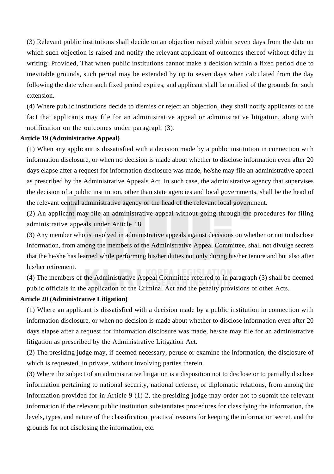(3) Relevant public institutions shall decide on an objection raised within seven days from the date on which such objection is raised and notify the relevant applicant of outcomes thereof without delay in writing: Provided, That when public institutions cannot make a decision within a fixed period due to inevitable grounds, such period may be extended by up to seven days when calculated from the day following the date when such fixed period expires, and applicant shall be notified of the grounds for such extension.

(4) Where public institutions decide to dismiss or reject an objection, they shall notify applicants of the fact that applicants may file for an administrative appeal or administrative litigation, along with notification on the outcomes under paragraph (3).

# **Article 19 (Administrative Appeal)**

(1) When any applicant is dissatisfied with a decision made by a public institution in connection with information disclosure, or when no decision is made about whether to disclose information even after 20 days elapse after a request for information disclosure was made, he/she may file an administrative appeal as prescribed by the Administrative Appeals Act. In such case, the administrative agency that supervises the decision of a public institution, other than state agencies and local governments, shall be the head of the relevant central administrative agency or the head of the relevant local government.

(2) An applicant may file an administrative appeal without going through the procedures for filing administrative appeals under Article 18.

(3) Any member who is involved in administrative appeals against decisions on whether or not to disclose information, from among the members of the Administrative Appeal Committee, shall not divulge secrets that the he/she has learned while performing his/her duties not only during his/her tenure and but also after his/her retirement.

(4) The members of the Administrative Appeal Committee referred to in paragraph (3) shall be deemed public officials in the application of the Criminal Act and the penalty provisions of other Acts.

# **Article 20 (Administrative Litigation)**

(1) Where an applicant is dissatisfied with a decision made by a public institution in connection with information disclosure, or when no decision is made about whether to disclose information even after 20 days elapse after a request for information disclosure was made, he/she may file for an administrative litigation as prescribed by the Administrative Litigation Act.

(2) The presiding judge may, if deemed necessary, peruse or examine the information, the disclosure of which is requested, in private, without involving parties therein.

(3) Where the subject of an administrative litigation is a disposition not to disclose or to partially disclose information pertaining to national security, national defense, or diplomatic relations, from among the information provided for in Article 9 (1) 2, the presiding judge may order not to submit the relevant information if the relevant public institution substantiates procedures for classifying the information, the levels, types, and nature of the classification, practical reasons for keeping the information secret, and the grounds for not disclosing the information, etc.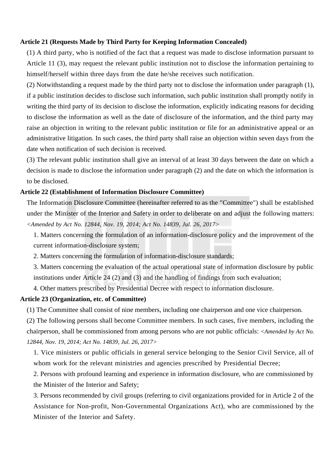#### **Article 21 (Requests Made by Third Party for Keeping Information Concealed)**

(1) A third party, who is notified of the fact that a request was made to disclose information pursuant to Article 11 (3), may request the relevant public institution not to disclose the information pertaining to himself/herself within three days from the date he/she receives such notification.

(2) Notwithstanding a request made by the third party not to disclose the information under paragraph (1), if a public institution decides to disclose such information, such public institution shall promptly notify in writing the third party of its decision to disclose the information, explicitly indicating reasons for deciding to disclose the information as well as the date of disclosure of the information, and the third party may raise an objection in writing to the relevant public institution or file for an administrative appeal or an administrative litigation. In such cases, the third party shall raise an objection within seven days from the date when notification of such decision is received.

(3) The relevant public institution shall give an interval of at least 30 days between the date on which a decision is made to disclose the information under paragraph (2) and the date on which the information is to be disclosed.

# **Article 22 (Establishment of Information Disclosure Committee)**

The Information Disclosure Committee (hereinafter referred to as the "Committee") shall be established under the Minister of the Interior and Safety in order to deliberate on and adjust the following matters: *<Amended by Act No. 12844, Nov. 19, 2014; Act No. 14839, Jul. 26, 2017>*

1. Matters concerning the formulation of an information-disclosure policy and the improvement of the current information-disclosure system;

2. Matters concerning the formulation of information-disclosure standards;

3. Matters concerning the evaluation of the actual operational state of information disclosure by public institutions under Article 24 (2) and (3) and the handling of findings from such evaluation;

4. Other matters prescribed by Presidential Decree with respect to information disclosure.

#### **Article 23 (Organization, etc. of Committee)**

(1) The Committee shall consist of nine members, including one chairperson and one vice chairperson.

(2) The following persons shall become Committee members. In such cases, five members, including the chairperson, shall be commissioned from among persons who are not public officials: *<Amended by Act No. 12844, Nov. 19, 2014; Act No. 14839, Jul. 26, 2017>*

1. Vice ministers or public officials in general service belonging to the Senior Civil Service, all of whom work for the relevant ministries and agencies prescribed by Presidential Decree;

2. Persons with profound learning and experience in information disclosure, who are commissioned by the Minister of the Interior and Safety;

3. Persons recommended by civil groups (referring to civil organizations provided for in Article 2 of the Assistance for Non-profit, Non-Governmental Organizations Act), who are commissioned by the Minister of the Interior and Safety.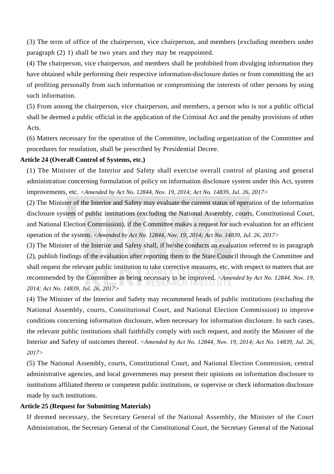(3) The term of office of the chairperson, vice chairperson, and members (excluding members under paragraph (2) 1) shall be two years and they may be reappointed.

(4) The chairperson, vice chairperson, and members shall be prohibited from divulging information they have obtained while performing their respective information-disclosure duties or from committing the act of profiting personally from such information or compromising the interests of other persons by using such information.

(5) From among the chairperson, vice chairperson, and members, a person who is not a public official shall be deemed a public official in the application of the Criminal Act and the penalty provisions of other Acts.

(6) Matters necessary for the operation of the Committee, including organization of the Committee and procedures for resolution, shall be prescribed by Presidential Decree.

## **Article 24 (Overall Control of Systems, etc.)**

(1) The Minister of the Interior and Safety shall exercise overall control of planing and general administration concerning formulation of policy on information disclosure system under this Act, system improvements, etc. *<Amended by Act No. 12844, Nov. 19, 2014; Act No. 14839, Jul. 26, 2017>*

(2) The Minister of the Interior and Safety may evaluate the current status of operation of the information disclosure system of public institutions (excluding the National Assembly, courts, Constitutional Court, and National Election Commission), if the Committee makes a request for such evaluation for an efficient operation of the system. *<Amended by Act No. 12844, Nov. 19, 2014; Act No. 14839, Jul. 26, 2017>*

(3) The Minister of the Interior and Safety shall, if he/she conducts an evaluation referred to in paragraph (2), publish findings of the evaluation after reporting them to the State Council through the Committee and shall request the relevant public institution to take corrective measures, etc. with respect to matters that are recommended by the Committee as being necessary to be improved. *<Amended by Act No. 12844, Nov. 19, 2014; Act No. 14839, Jul. 26, 2017>*

(4) The Minister of the Interior and Safety may recommend heads of public institutions (excluding the National Assembly, courts, Constitutional Court, and National Election Commission) to improve conditions concerning information disclosure, when necessary for information disclosure. In such cases, the relevant public institutions shall faithfully comply with such request, and notify the Minister of the Interior and Safety of outcomes thereof. *<Amended by Act No. 12844, Nov. 19, 2014; Act No. 14839, Jul. 26, 2017>*

(5) The National Assembly, courts, Constitutional Court, and National Election Commission, central administrative agencies, and local governments may present their opinions on information disclosure to institutions affiliated thereto or competent public institutions, or supervise or check information disclosure made by such institutions.

### **Article 25 (Request for Submitting Materials)**

If deemed necessary, the Secretary General of the National Assembly, the Minister of the Court Administration, the Secretary General of the Constitutional Court, the Secretary General of the National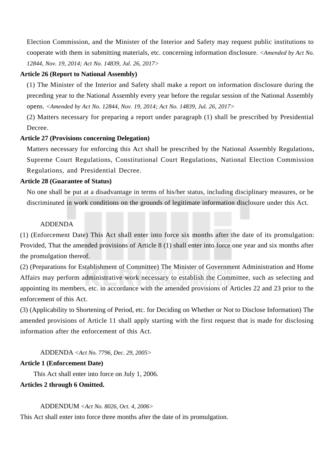Election Commission, and the Minister of the Interior and Safety may request public institutions to cooperate with them in submitting materials, etc. concerning information disclosure. *<Amended by Act No. 12844, Nov. 19, 2014; Act No. 14839, Jul. 26, 2017>*

#### **Article 26 (Report to National Assembly)**

(1) The Minister of the Interior and Safety shall make a report on information disclosure during the preceding year to the National Assembly every year before the regular session of the National Assembly opens. *<Amended by Act No. 12844, Nov. 19, 2014; Act No. 14839, Jul. 26, 2017>*

(2) Matters necessary for preparing a report under paragraph (1) shall be prescribed by Presidential Decree.

### **Article 27 (Provisions concerning Delegation)**

Matters necessary for enforcing this Act shall be prescribed by the National Assembly Regulations, Supreme Court Regulations, Constitutional Court Regulations, National Election Commission Regulations, and Presidential Decree.

### **Article 28 (Guarantee of Status)**

No one shall be put at a disadvantage in terms of his/her status, including disciplinary measures, or be discriminated in work conditions on the grounds of legitimate information disclosure under this Act.

# ADDENDA

(1) (Enforcement Date) This Act shall enter into force six months after the date of its promulgation: Provided, That the amended provisions of Article 8 (1) shall enter into force one year and six months after the promulgation thereof.

(2) (Preparations for Establishment of Committee) The Minister of Government Administration and Home Affairs may perform administrative work necessary to establish the Committee, such as selecting and appointing its members, etc. in accordance with the amended provisions of Articles 22 and 23 prior to the enforcement of this Act.

(3) (Applicability to Shortening of Period, etc. for Deciding on Whether or Not to Disclose Information) The amended provisions of Article 11 shall apply starting with the first request that is made for disclosing information after the enforcement of this Act.

# ADDENDA *<Act No. 7796, Dec. 29, 2005>*

#### **Article 1 (Enforcement Date)**

This Act shall enter into force on July 1, 2006.

#### **Articles 2 through 6 Omitted.**

ADDENDUM *<Act No. 8026, Oct. 4, 2006>*

This Act shall enter into force three months after the date of its promulgation.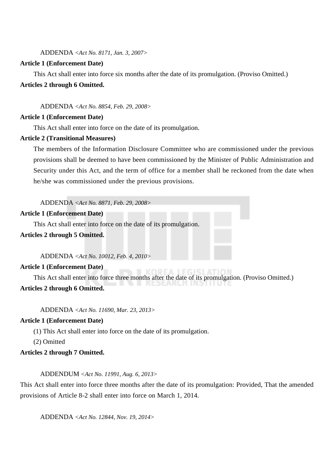ADDENDA *<Act No. 8171, Jan. 3, 2007>*

#### **Article 1 (Enforcement Date)**

This Act shall enter into force six months after the date of its promulgation. (Proviso Omitted.) **Articles 2 through 6 Omitted.**

ADDENDA *<Act No. 8854, Feb. 29, 2008>*

#### **Article 1 (Enforcement Date)**

This Act shall enter into force on the date of its promulgation.

### **Article 2 (Transitional Measures)**

The members of the Information Disclosure Committee who are commissioned under the previous provisions shall be deemed to have been commissioned by the Minister of Public Administration and Security under this Act, and the term of office for a member shall be reckoned from the date when he/she was commissioned under the previous provisions.

ADDENDA *<Act No. 8871, Feb. 29, 2008>*

#### **Article 1 (Enforcement Date)**

This Act shall enter into force on the date of its promulgation.

# **Articles 2 through 5 Omitted.**

ADDENDA *<Act No. 10012, Feb. 4, 2010>*

#### **Article 1 (Enforcement Date)**

This Act shall enter into force three months after the date of its promulgation. (Proviso Omitted.)

# **Articles 2 through 6 Omitted.**

ADDENDA *<Act No. 11690, Mar. 23, 2013>*

### **Article 1 (Enforcement Date)**

(1) This Act shall enter into force on the date of its promulgation.

(2) Omitted

# **Articles 2 through 7 Omitted.**

#### ADDENDUM *<Act No. 11991, Aug. 6, 2013>*

This Act shall enter into force three months after the date of its promulgation: Provided, That the amended provisions of Article 8-2 shall enter into force on March 1, 2014.

ADDENDA *<Act No. 12844, Nov. 19, 2014>*